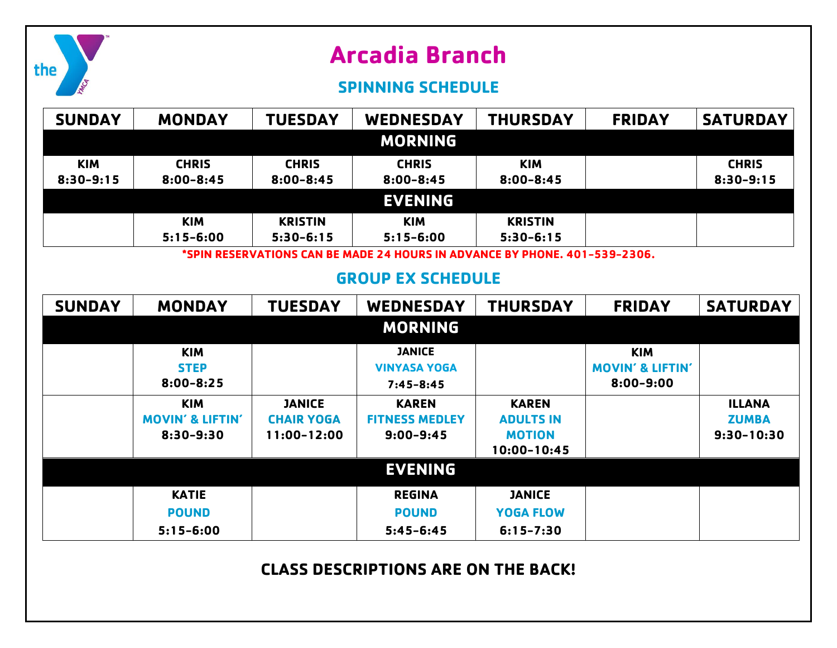|               |                                            |                                  | <b>SPINNING SCHEDULE</b>                                                                    |                                   |                             |                              |
|---------------|--------------------------------------------|----------------------------------|---------------------------------------------------------------------------------------------|-----------------------------------|-----------------------------|------------------------------|
| <b>SUNDAY</b> | <b>MONDAY</b>                              | <b>TUESDAY</b>                   | <b>WEDNESDAY</b>                                                                            | <b>THURSDAY</b>                   | <b>FRIDAY</b>               | <b>SATURDAY</b>              |
|               |                                            |                                  | <b>MORNING</b>                                                                              |                                   |                             |                              |
| <b>KIM</b>    | <b>CHRIS</b>                               | <b>CHRIS</b>                     | <b>CHRIS</b>                                                                                | <b>KIM</b>                        |                             | <b>CHRIS</b>                 |
| $8:30 - 9:15$ | $8:00 - 8:45$                              | $8:00 - 8:45$                    | $8:00 - 8:45$                                                                               | $8:00 - 8:45$                     |                             | $8:30 - 9:15$                |
|               |                                            |                                  | <b>EVENING</b>                                                                              |                                   |                             |                              |
|               | <b>KIM</b>                                 | <b>KRISTIN</b>                   | <b>KIM</b>                                                                                  | <b>KRISTIN</b>                    |                             |                              |
|               | $5:15 - 6:00$                              | $5:30-6:15$                      | $5:15 - 6:00$<br>*SPIN RESERVATIONS CAN BE MADE 24 HOURS IN ADVANCE BY PHONE. 401-539-2306. | $5:30-6:15$                       |                             |                              |
|               |                                            |                                  |                                                                                             |                                   |                             |                              |
|               |                                            |                                  | <b>GROUP EX SCHEDULE</b>                                                                    |                                   |                             |                              |
| <b>SUNDAY</b> | <b>MONDAY</b>                              | <b>TUESDAY</b>                   | <b>WEDNESDAY</b>                                                                            | <b>THURSDAY</b>                   | <b>FRIDAY</b>               | <b>SATURDAY</b>              |
|               |                                            |                                  | <b>MORNING</b>                                                                              |                                   |                             |                              |
|               | <b>KIM</b>                                 |                                  | <b>JANICE</b>                                                                               |                                   | <b>KIM</b>                  |                              |
|               | <b>STEP</b>                                |                                  | <b>VINYASA YOGA</b>                                                                         |                                   | <b>MOVIN' &amp; LIFTIN'</b> |                              |
|               | $8:00 - 8:25$                              |                                  | $7:45 - 8:45$                                                                               |                                   | $8:00 - 9:00$               |                              |
|               | <b>KIM</b>                                 | <b>JANICE</b>                    | <b>KAREN</b>                                                                                | <b>KAREN</b>                      |                             | <b>ILLANA</b>                |
|               | <b>MOVIN' &amp; LIFTIN'</b><br>$8:30-9:30$ | <b>CHAIR YOGA</b><br>11:00-12:00 | <b>FITNESS MEDLEY</b><br>$9:00 - 9:45$                                                      | <b>ADULTS IN</b><br><b>MOTION</b> |                             | <b>ZUMBA</b><br>$9:30-10:30$ |
|               |                                            |                                  |                                                                                             | 10:00-10:45                       |                             |                              |
|               |                                            |                                  | <b>EVENING</b>                                                                              |                                   |                             |                              |
|               | <b>KATIE</b>                               |                                  | <b>REGINA</b>                                                                               | <b>JANICE</b>                     |                             |                              |
|               | <b>POUND</b>                               |                                  | <b>POUND</b>                                                                                | <b>YOGA FLOW</b>                  |                             |                              |
|               | $5:15 - 6:00$                              |                                  | $5:45 - 6:45$                                                                               | $6:15 - 7:30$                     |                             |                              |
|               |                                            |                                  |                                                                                             |                                   |                             |                              |